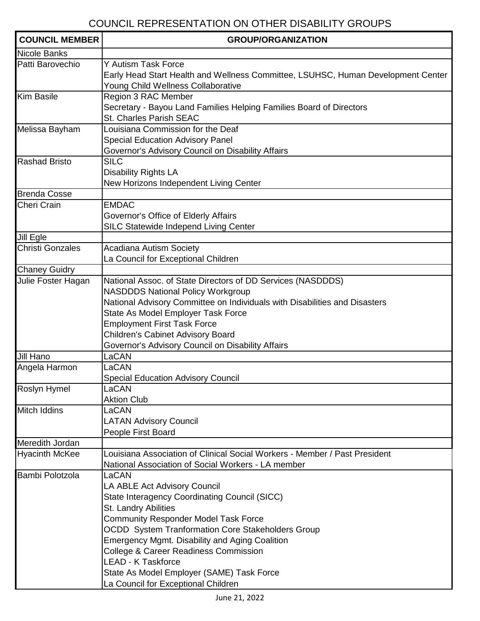## COUNCIL REPRESENTATION ON OTHER DISABILITY GROUPS

| <b>COUNCIL MEMBER</b>   | <b>GROUP/ORGANIZATION</b>                                                                                                                                                                                                                                                                                                                                                                                                                               |
|-------------------------|---------------------------------------------------------------------------------------------------------------------------------------------------------------------------------------------------------------------------------------------------------------------------------------------------------------------------------------------------------------------------------------------------------------------------------------------------------|
| <b>Nicole Banks</b>     |                                                                                                                                                                                                                                                                                                                                                                                                                                                         |
| Patti Barovechio        | Y Autism Task Force<br>Early Head Start Health and Wellness Committee, LSUHSC, Human Development Center<br>Young Child Wellness Collaborative                                                                                                                                                                                                                                                                                                           |
| <b>Kim Basile</b>       | Region 3 RAC Member<br>Secretary - Bayou Land Families Helping Families Board of Directors<br>St. Charles Parish SEAC                                                                                                                                                                                                                                                                                                                                   |
| Melissa Bayham          | Louisiana Commission for the Deaf<br><b>Special Education Advisory Panel</b><br>Governor's Advisory Council on Disability Affairs                                                                                                                                                                                                                                                                                                                       |
| <b>Rashad Bristo</b>    | <b>SILC</b><br><b>Disability Rights LA</b><br>New Horizons Independent Living Center                                                                                                                                                                                                                                                                                                                                                                    |
| <b>Brenda Cosse</b>     |                                                                                                                                                                                                                                                                                                                                                                                                                                                         |
| Cheri Crain             | <b>EMDAC</b><br>Governor's Office of Elderly Affairs<br>SILC Statewide Independ Living Center                                                                                                                                                                                                                                                                                                                                                           |
| Jill Egle               |                                                                                                                                                                                                                                                                                                                                                                                                                                                         |
| <b>Christi Gonzales</b> | <b>Acadiana Autism Society</b><br>La Council for Exceptional Children                                                                                                                                                                                                                                                                                                                                                                                   |
| <b>Chaney Guidry</b>    |                                                                                                                                                                                                                                                                                                                                                                                                                                                         |
| Julie Foster Hagan      | National Assoc. of State Directors of DD Services (NASDDDS)<br><b>NASDDDS National Policy Workgroup</b><br>National Advisory Committee on Individuals with Disabilities and Disasters<br>State As Model Employer Task Force<br><b>Employment First Task Force</b><br><b>Children's Cabinet Advisory Board</b><br>Governor's Advisory Council on Disability Affairs                                                                                      |
| Jill Hano               | LaCAN                                                                                                                                                                                                                                                                                                                                                                                                                                                   |
| Angela Harmon           | LaCAN<br><b>Special Education Advisory Council</b>                                                                                                                                                                                                                                                                                                                                                                                                      |
| <b>Roslyn Hymel</b>     | LaCAN<br><b>Aktion Club</b>                                                                                                                                                                                                                                                                                                                                                                                                                             |
| Mitch Iddins            | LaCAN<br><b>LATAN Advisory Council</b><br>People First Board                                                                                                                                                                                                                                                                                                                                                                                            |
| Meredith Jordan         |                                                                                                                                                                                                                                                                                                                                                                                                                                                         |
| <b>Hyacinth McKee</b>   | Louisiana Association of Clinical Social Workers - Member / Past President<br>National Association of Social Workers - LA member                                                                                                                                                                                                                                                                                                                        |
| Bambi Polotzola         | LaCAN<br>LA ABLE Act Advisory Council<br>State Interagency Coordinating Council (SICC)<br>St. Landry Abilities<br><b>Community Responder Model Task Force</b><br><b>OCDD</b> System Tranformation Core Stakeholders Group<br><b>Emergency Mgmt. Disability and Aging Coalition</b><br><b>College &amp; Career Readiness Commission</b><br><b>LEAD - K Taskforce</b><br>State As Model Employer (SAME) Task Force<br>La Council for Exceptional Children |